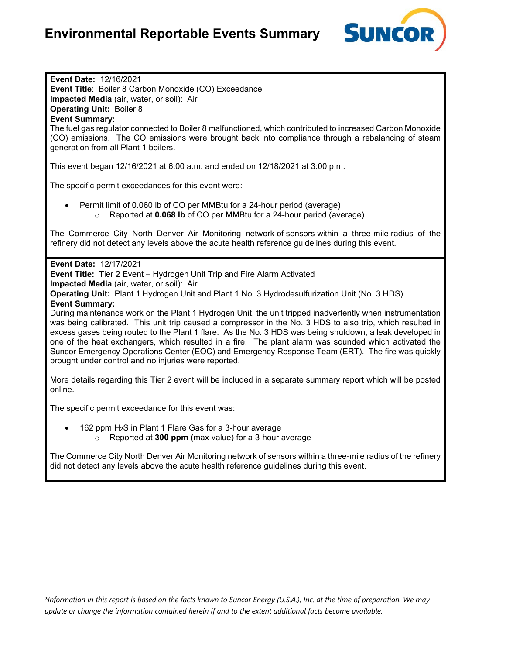

| Event Date: 12/16/2021                                                                                                                                                                                                                                                                                                                                                                                                                                                                                                                                                                                                           |
|----------------------------------------------------------------------------------------------------------------------------------------------------------------------------------------------------------------------------------------------------------------------------------------------------------------------------------------------------------------------------------------------------------------------------------------------------------------------------------------------------------------------------------------------------------------------------------------------------------------------------------|
| Event Title: Boiler 8 Carbon Monoxide (CO) Exceedance                                                                                                                                                                                                                                                                                                                                                                                                                                                                                                                                                                            |
| Impacted Media (air, water, or soil): Air                                                                                                                                                                                                                                                                                                                                                                                                                                                                                                                                                                                        |
| <b>Operating Unit: Boiler 8</b>                                                                                                                                                                                                                                                                                                                                                                                                                                                                                                                                                                                                  |
| <b>Event Summary:</b>                                                                                                                                                                                                                                                                                                                                                                                                                                                                                                                                                                                                            |
| The fuel gas regulator connected to Boiler 8 malfunctioned, which contributed to increased Carbon Monoxide<br>(CO) emissions. The CO emissions were brought back into compliance through a rebalancing of steam<br>generation from all Plant 1 boilers.                                                                                                                                                                                                                                                                                                                                                                          |
| This event began 12/16/2021 at 6:00 a.m. and ended on 12/18/2021 at 3:00 p.m.                                                                                                                                                                                                                                                                                                                                                                                                                                                                                                                                                    |
| The specific permit exceedances for this event were:                                                                                                                                                                                                                                                                                                                                                                                                                                                                                                                                                                             |
| Permit limit of 0.060 lb of CO per MMBtu for a 24-hour period (average)<br>Reported at 0.068 Ib of CO per MMBtu for a 24-hour period (average)<br>$\circ$                                                                                                                                                                                                                                                                                                                                                                                                                                                                        |
| The Commerce City North Denver Air Monitoring network of sensors within a three-mile radius of the<br>refinery did not detect any levels above the acute health reference guidelines during this event.                                                                                                                                                                                                                                                                                                                                                                                                                          |
| Event Date: 12/17/2021                                                                                                                                                                                                                                                                                                                                                                                                                                                                                                                                                                                                           |
| Event Title: Tier 2 Event - Hydrogen Unit Trip and Fire Alarm Activated                                                                                                                                                                                                                                                                                                                                                                                                                                                                                                                                                          |
| Impacted Media (air, water, or soil): Air                                                                                                                                                                                                                                                                                                                                                                                                                                                                                                                                                                                        |
| Operating Unit: Plant 1 Hydrogen Unit and Plant 1 No. 3 Hydrodesulfurization Unit (No. 3 HDS)                                                                                                                                                                                                                                                                                                                                                                                                                                                                                                                                    |
| <b>Event Summary:</b><br>During maintenance work on the Plant 1 Hydrogen Unit, the unit tripped inadvertently when instrumentation<br>was being calibrated. This unit trip caused a compressor in the No. 3 HDS to also trip, which resulted in<br>excess gases being routed to the Plant 1 flare. As the No. 3 HDS was being shutdown, a leak developed in<br>one of the heat exchangers, which resulted in a fire. The plant alarm was sounded which activated the<br>Suncor Emergency Operations Center (EOC) and Emergency Response Team (ERT). The fire was quickly<br>brought under control and no injuries were reported. |
| More details regarding this Tier 2 event will be included in a separate summary report which will be posted<br>online.                                                                                                                                                                                                                                                                                                                                                                                                                                                                                                           |
| The specific permit exceedance for this event was:                                                                                                                                                                                                                                                                                                                                                                                                                                                                                                                                                                               |
| 162 ppm H <sub>2</sub> S in Plant 1 Flare Gas for a 3-hour average<br>$\circ$ Reported at 300 ppm (max value) for a 3-hour average                                                                                                                                                                                                                                                                                                                                                                                                                                                                                               |
| The Commerce City North Denver Air Monitoring network of sensors within a three-mile radius of the refinery<br>did not detect any levels above the acute health reference guidelines during this event.                                                                                                                                                                                                                                                                                                                                                                                                                          |
|                                                                                                                                                                                                                                                                                                                                                                                                                                                                                                                                                                                                                                  |